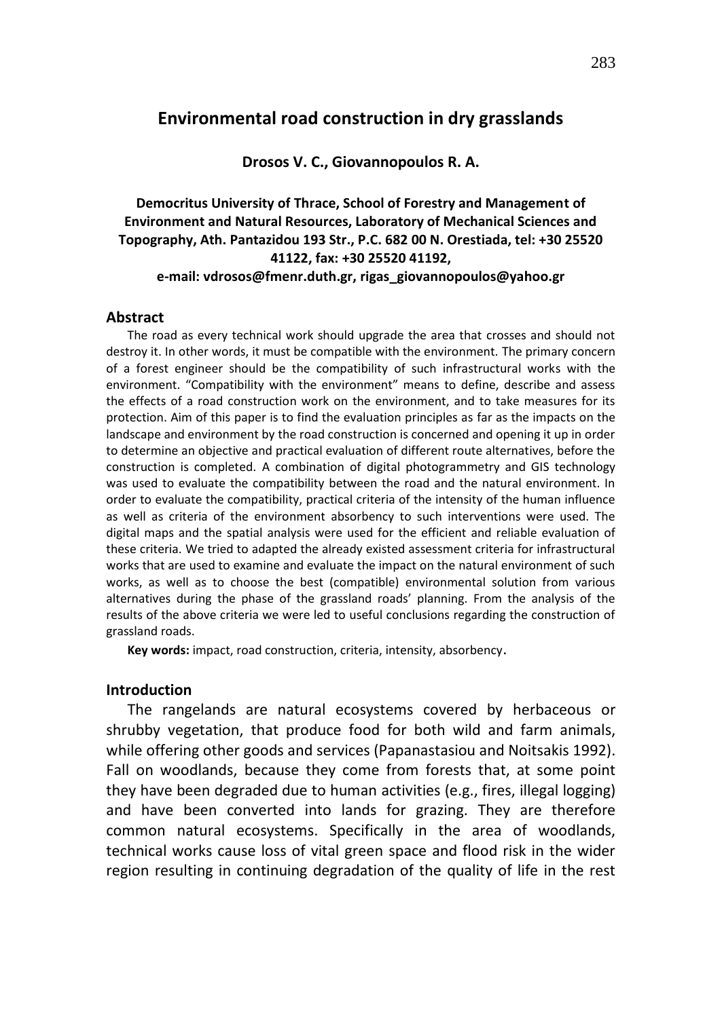# **Environmental road construction in dry grasslands**

#### **Drosos V. C., Giovannopoulos R. A.**

# **Democritus University of Thrace, School of Forestry and Management of Environment and Natural Resources, Laboratory of Mechanical Sciences and Topography, Ath. Pantazidou 193 Str., P.C. 682 00 N. Orestiada, tel: +30 25520 41122, fax: +30 25520 41192, e-mail: vdrosos@fmenr.duth.gr, rigas\_giovannopoulos@yahoo.gr**

#### **Abstract**

The road as every technical work should upgrade the area that crosses and should not destroy it. In other words, it must be compatible with the environment. The primary concern of a forest engineer should be the compatibility of such infrastructural works with the environment. "Compatibility with the environment" means to define, describe and assess the effects of a road construction work on the environment, and to take measures for its protection. Aim of this paper is to find the evaluation principles as far as the impacts on the landscape and environment by the road construction is concerned and opening it up in order to determine an objective and practical evaluation of different route alternatives, before the construction is completed. A combination of digital photogrammetry and GIS technology was used to evaluate the compatibility between the road and the natural environment. In order to evaluate the compatibility, practical criteria of the intensity of the human influence as well as criteria of the environment absorbency to such interventions were used. The digital maps and the spatial analysis were used for the efficient and reliable evaluation of these criteria. We tried to adapted the already existed assessment criteria for infrastructural works that are used to examine and evaluate the impact on the natural environment of such works, as well as to choose the best (compatible) environmental solution from various alternatives during the phase of the grassland roads' planning. From the analysis of the results of the above criteria we were led to useful conclusions regarding the construction of grassland roads.

**Key words:** impact, road construction, criteria, intensity, absorbency.

## **Introduction**

The rangelands are natural ecosystems covered by herbaceous or shrubby vegetation, that produce food for both wild and farm animals, while offering other goods and services (Papanastasiou and Noitsakis 1992). Fall on woodlands, because they come from forests that, at some point they have been degraded due to human activities (e.g., fires, illegal logging) and have been converted into lands for grazing. They are therefore common natural ecosystems. Specifically in the area of woodlands, technical works cause loss of vital green space and flood risk in the wider region resulting in continuing degradation of the quality of life in the rest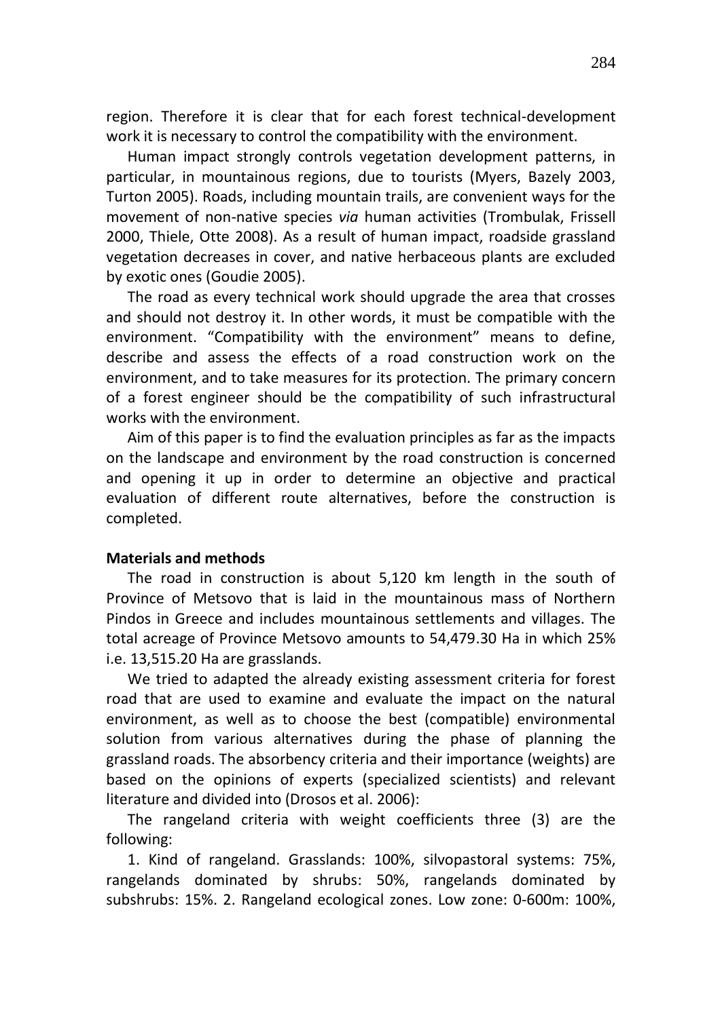region. Therefore it is clear that for each forest technical-development work it is necessary to control the compatibility with the environment.

Human impact strongly controls vegetation development patterns, in particular, in mountainous regions, due to tourists (Myers, Bazely 2003, Turton 2005). Roads, including mountain trails, are convenient ways for the movement of non-native species *via* human activities (Trombulak, Frissell 2000, Thiele, Otte 2008). As a result of human impact, roadside grassland vegetation decreases in cover, and native herbaceous plants are excluded by exotic ones (Goudie 2005).

The road as every technical work should upgrade the area that crosses and should not destroy it. In other words, it must be compatible with the environment. "Compatibility with the environment" means to define, describe and assess the effects of a road construction work on the environment, and to take measures for its protection. The primary concern of a forest engineer should be the compatibility of such infrastructural works with the environment.

Aim of this paper is to find the evaluation principles as far as the impacts on the landscape and environment by the road construction is concerned and opening it up in order to determine an objective and practical evaluation of different route alternatives, before the construction is completed.

## **Materials and methods**

The road in construction is about 5,120 km length in the south of Province of Metsovo that is laid in the mountainous mass of Northern Pindos in Greece and includes mountainous settlements and villages. The total acreage of Province Metsovo amounts to 54,479.30 Ha in which 25% i.e. 13,515.20 Ha are grasslands.

We tried to adapted the already existing assessment criteria for forest road that are used to examine and evaluate the impact on the natural environment, as well as to choose the best (compatible) environmental solution from various alternatives during the phase of planning the grassland roads. The absorbency criteria and their importance (weights) are based on the opinions of experts (specialized scientists) and relevant literature and divided into (Drosos et al. 2006):

The rangeland criteria with weight coefficients three (3) are the following:

1. Kind of rangeland. Grasslands: 100%, silvopastoral systems: 75%, rangelands dominated by shrubs: 50%, rangelands dominated by subshrubs: 15%. 2. Rangeland ecological zones. Low zone: 0-600m: 100%,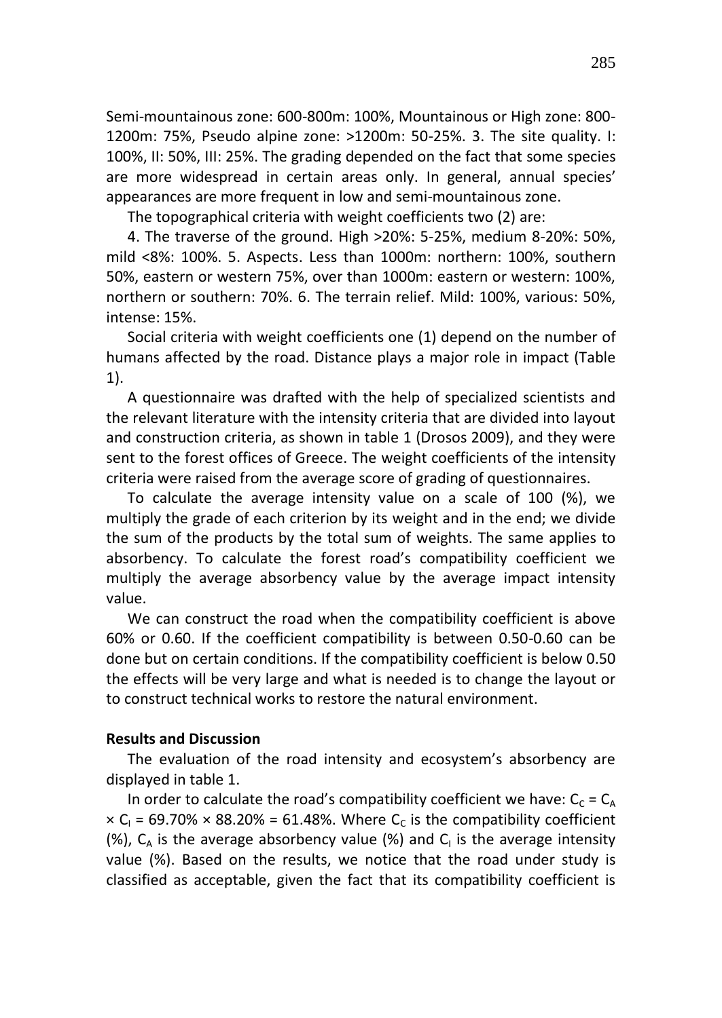Semi-mountainous zone: 600-800m: 100%, Mountainous or High zone: 800- 1200m: 75%, Pseudo alpine zone: >1200m: 50-25%. 3. The site quality. I: 100%, II: 50%, III: 25%. The grading depended on the fact that some species are more widespread in certain areas only. In general, annual species' appearances are more frequent in low and semi-mountainous zone.

The topographical criteria with weight coefficients two (2) are:

4. The traverse of the ground. High >20%: 5-25%, medium 8-20%: 50%, mild <8%: 100%. 5. Aspects. Less than 1000m: northern: 100%, southern 50%, eastern or western 75%, over than 1000m: eastern or western: 100%, northern or southern: 70%. 6. The terrain relief. Mild: 100%, various: 50%, intense: 15%.

Social criteria with weight coefficients one (1) depend on the number of humans affected by the road. Distance plays a major role in impact (Table 1).

A questionnaire was drafted with the help of specialized scientists and the relevant literature with the intensity criteria that are divided into layout and construction criteria, as shown in table 1 (Drosos 2009), and they were sent to the forest offices of Greece. The weight coefficients of the intensity criteria were raised from the average score of grading of questionnaires.

To calculate the average intensity value on a scale of 100 (%), we multiply the grade of each criterion by its weight and in the end; we divide the sum of the products by the total sum of weights. The same applies to absorbency. To calculate the forest road's compatibility coefficient we multiply the average absorbency value by the average impact intensity value.

We can construct the road when the compatibility coefficient is above 60% or 0.60. If the coefficient compatibility is between 0.50-0.60 can be done but on certain conditions. If the compatibility coefficient is below 0.50 the effects will be very large and what is needed is to change the layout or to construct technical works to restore the natural environment.

## **Results and Discussion**

The evaluation of the road intensity and ecosystem's absorbency are displayed in table 1.

In order to calculate the road's compatibility coefficient we have:  $C_c = C_A$  $\times$  C<sub>1</sub> = 69.70%  $\times$  88.20% = 61.48%. Where C<sub>c</sub> is the compatibility coefficient (%),  $C_A$  is the average absorbency value (%) and  $C_I$  is the average intensity value (%). Based on the results, we notice that the road under study is classified as acceptable, given the fact that its compatibility coefficient is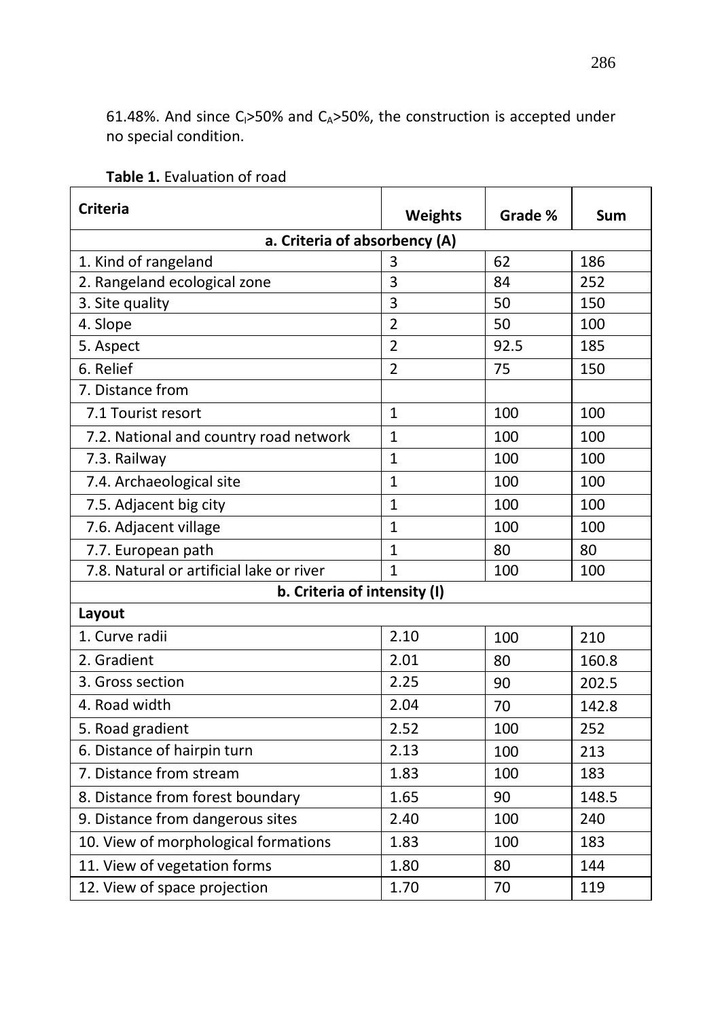61.48%. And since C<sub>1</sub>>50% and C<sub>A</sub>>50%, the construction is accepted under no special condition.

| <b>Criteria</b>                          | <b>Weights</b> | Grade % | Sum   |  |
|------------------------------------------|----------------|---------|-------|--|
| a. Criteria of absorbency (A)            |                |         |       |  |
| 1. Kind of rangeland                     | 3              | 62      | 186   |  |
| 2. Rangeland ecological zone             | 3              | 84      | 252   |  |
| 3. Site quality                          | 3              | 50      | 150   |  |
| 4. Slope                                 | $\overline{2}$ | 50      | 100   |  |
| 5. Aspect                                | $\overline{2}$ | 92.5    | 185   |  |
| 6. Relief                                | $\overline{2}$ | 75      | 150   |  |
| 7. Distance from                         |                |         |       |  |
| 7.1 Tourist resort                       | $\mathbf{1}$   | 100     | 100   |  |
| 7.2. National and country road network   | $\mathbf{1}$   | 100     | 100   |  |
| 7.3. Railway                             | $\mathbf{1}$   | 100     | 100   |  |
| 7.4. Archaeological site                 | $\mathbf{1}$   | 100     | 100   |  |
| 7.5. Adjacent big city                   | $\mathbf{1}$   | 100     | 100   |  |
| 7.6. Adjacent village                    | $\mathbf{1}$   | 100     | 100   |  |
| 7.7. European path                       | $\mathbf{1}$   | 80      | 80    |  |
| 7.8. Natural or artificial lake or river | $\mathbf{1}$   | 100     | 100   |  |
| b. Criteria of intensity (I)             |                |         |       |  |
| Layout                                   |                |         |       |  |
| 1. Curve radii                           | 2.10           | 100     | 210   |  |
| 2. Gradient                              | 2.01           | 80      | 160.8 |  |
| 3. Gross section                         | 2.25           | 90      | 202.5 |  |
| 4. Road width                            | 2.04           | 70      | 142.8 |  |
| 5. Road gradient                         | 2.52           | 100     | 252   |  |
| 6. Distance of hairpin turn              | 2.13           | 100     | 213   |  |
| 7. Distance from stream                  | 1.83           | 100     | 183   |  |
| 8. Distance from forest boundary         | 1.65           | 90      | 148.5 |  |
| 9. Distance from dangerous sites         | 2.40           | 100     | 240   |  |
| 10. View of morphological formations     | 1.83           | 100     | 183   |  |
| 11. View of vegetation forms             | 1.80           | 80      | 144   |  |
| 12. View of space projection             | 1.70           | 70      | 119   |  |

# **Table 1.** Evaluation of road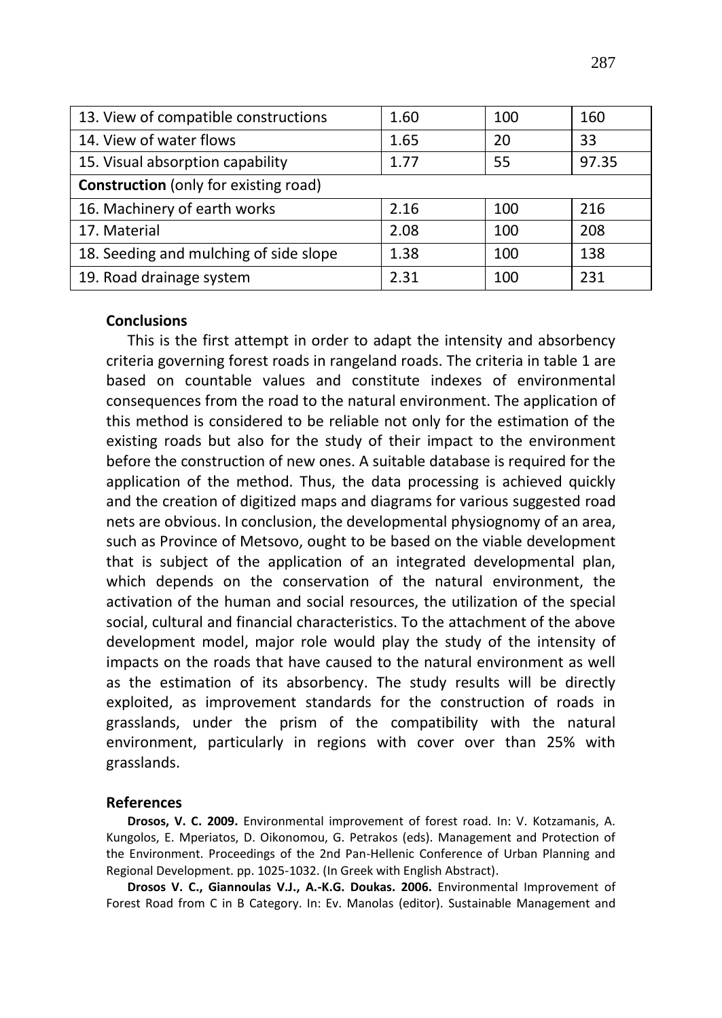| 13. View of compatible constructions         | 1.60 | 100 | 160   |  |
|----------------------------------------------|------|-----|-------|--|
| 14. View of water flows                      | 1.65 | 20  | 33    |  |
| 15. Visual absorption capability             | 1.77 | 55  | 97.35 |  |
| <b>Construction</b> (only for existing road) |      |     |       |  |
| 16. Machinery of earth works                 | 2.16 | 100 | 216   |  |
| 17. Material                                 | 2.08 | 100 | 208   |  |
| 18. Seeding and mulching of side slope       | 1.38 | 100 | 138   |  |
| 19. Road drainage system                     | 2.31 | 100 | 231   |  |

#### **Conclusions**

This is the first attempt in order to adapt the intensity and absorbency criteria governing forest roads in rangeland roads. The criteria in table 1 are based on countable values and constitute indexes of environmental consequences from the road to the natural environment. The application of this method is considered to be reliable not only for the estimation of the existing roads but also for the study of their impact to the environment before the construction of new ones. A suitable database is required for the application of the method. Thus, the data processing is achieved quickly and the creation of digitized maps and diagrams for various suggested road nets are obvious. In conclusion, the developmental physiognomy of an area, such as Province of Metsovo, ought to be based on the viable development that is subject of the application of an integrated developmental plan, which depends on the conservation of the natural environment, the activation of the human and social resources, the utilization of the special social, cultural and financial characteristics. To the attachment of the above development model, major role would play the study of the intensity of impacts on the roads that have caused to the natural environment as well as the estimation of its absorbency. The study results will be directly exploited, as improvement standards for the construction of roads in grasslands, under the prism of the compatibility with the natural environment, particularly in regions with cover over than 25% with grasslands.

#### **References**

**Drosos, V. C. 2009.** Environmental improvement of forest road. In: V. Kotzamanis, A. Kungolos, E. Mperiatos, D. Oikonomou, G. Petrakos (eds). Management and Protection of the Environment. Proceedings of the 2nd Pan-Hellenic Conference of Urban Planning and Regional Development. pp. 1025-1032. (In Greek with English Abstract).

**Drosos V. C., Giannoulas V.J., A.-K.G. Doukas. 2006.** Environmental Improvement of Forest Road from C in B Category. In: Ev. Manolas (editor). Sustainable Management and